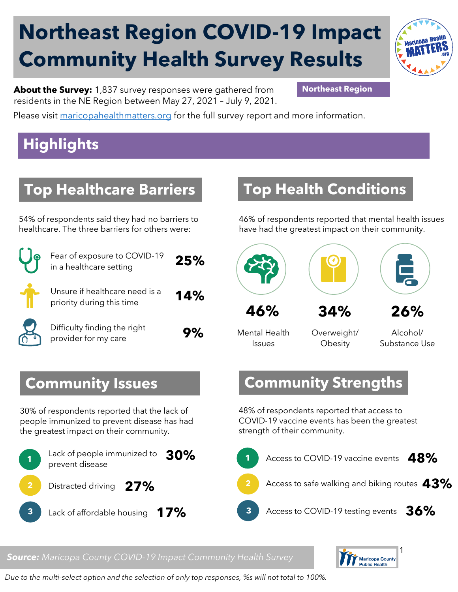# **Northeast Region COVID-19 Impact Community Health Survey Results**



**About the Survey:** 1,837 survey responses were gathered from **Northeast Region** residents in the NE Region between May 27, 2021 – July 9, 2021.

Please visit [maricopahealthmatters.org](https://www.maricopa.gov/5100/Health-Data-Maricopa-Health-Matters) for the full survey report and more information.

## **Highlights**

#### **Top Healthcare Barriers**

54% of respondents said they had no barriers to healthcare. The three barriers for others were:

| Fear of exposure to COVID-19<br>in a healthcare setting     | 25% |
|-------------------------------------------------------------|-----|
| Unsure if healthcare need is a<br>priority during this time | 14% |
| Difficulty finding the right<br>provider for my care        |     |

## **Top Health Conditions**

46% of respondents reported that mental health issues have had the greatest impact on their community.



Mental Health Issues

Overweight/ **Obesity** 

Alcohol/ Substance Use

#### **Community Strengths**

48% of respondents reported that access to COVID-19 vaccine events has been the greatest strength of their community.



#### $\mathbf{r}$ **Public Health**

#### **Community Issues**

30% of respondents reported that the lack of people immunized to prevent disease has had the greatest impact on their community.



#### *Source: Maricopa County COVID-19 Impact Community Health Survey*

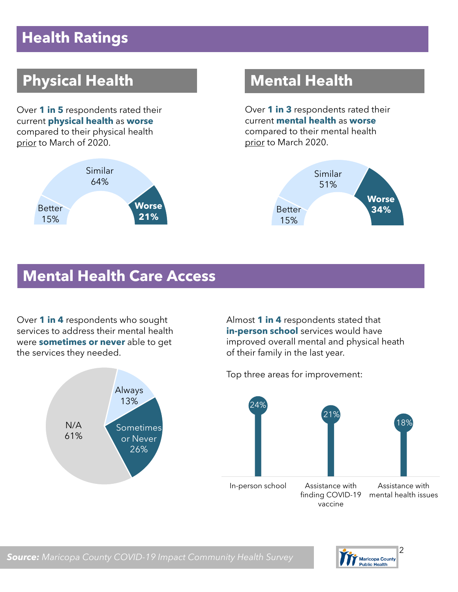### **Health Ratings**

## **Physical Health Mental Health**

Over **1 in 5** respondents rated their current **physical health** as **worse** compared to their physical health prior to March of 2020.



Over **1 in 3** respondents rated their current **mental health** as **worse** compared to their mental health prior to March 2020.



#### **Mental Health Care Access**

Over **1 in 4** respondents who sought services to address their mental health were **sometimes or never** able to get the services they needed.



Almost **1 in 4** respondents stated that **in-person school** services would have improved overall mental and physical heath of their family in the last year.

Top three areas for improvement:





*Source: Maricopa County COVID-19 Impact Community Health Survey*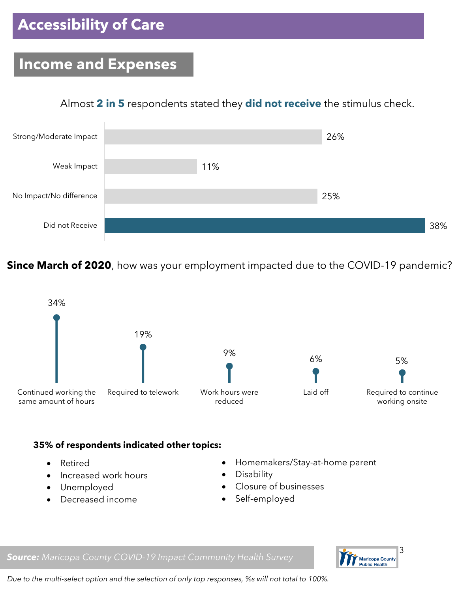## **Accessibility of Care**

#### **Income and Expenses**

#### Almost **2 in 5** respondents stated they **did not receive** the stimulus check.



**Since March of 2020**, how was your employment impacted due to the COVID-19 pandemic?



#### **35% of respondents indicated other topics:**

- Retired
- Increased work hours
- Unemployed
- Decreased income
- Homemakers/Stay-at-home parent
- Disability
- Closure of businesses
- Self-employed





*Due to the multi-select option and the selection of only top responses, %s will not total to 100%.*